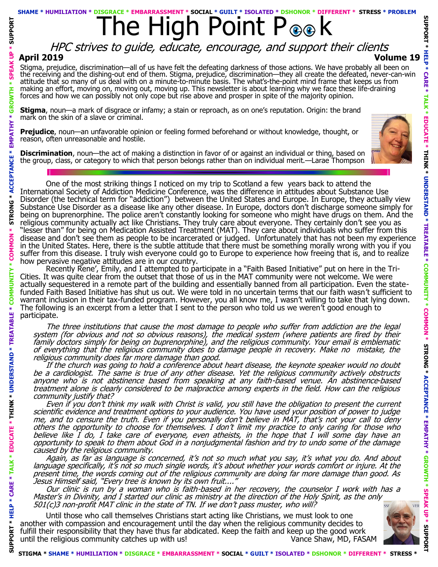### **SHAME \* HUMILIATION**

# The High Point P ® k

# **April 2019 Volume 19** HPC strives to guide, educate, encourage, and support their clients

Stigma, prejudice, discrimination—all of us have felt the defeating darkness of those actions. We have probably all been on the receiving and the dishing-out end of them. Stigma, prejudice, discrimination—they all create the defeated, never-can-win attitude that so many of us deal with on a minute-to-minute basis. The what's-the-point mind frame that keeps us from making an effort, moving on, moving out, moving up. This newsletter is about learning why we face these life-draining forces and how we can possibly not only cope but rise above and prosper in spite of the majority opinion.

**Stigma**, noun—a mark of disgrace or infamy; a stain or reproach, as on one's reputation. Origin: the brand mark on the skin of a slave or criminal.

**Prejudice**, noun—an unfavorable opinion or feeling formed beforehand or without knowledge, thought, or reason, often unreasonable and hostile.

**Discrimination**, noun—the act of making a distinction in favor of or against an individual or thing, based on the group, class, or category to which that person belongs rather than on individual merit.—Larae Thompson



One of the most striking things I noticed on my trip to Scotland a few years back to attend the International Society of Addiction Medicine Conference, was the difference in attitudes about Substance Use Disorder (the technical term for "addiction") between the United States and Europe. In Europe, they actually view Substance Use Disorder as a disease like any other disease. In Europe, doctors don't discharge someone simply for being on buprenorphine. The police aren't constantly looking for someone who might have drugs on them. And the religious community actually act like Christians. They truly care about everyone. They certainly don't see you as "lesser than" for being on Medication Assisted Treatment (MAT). They care about individuals who suffer from this disease and don't see them as people to be incarcerated or judged. Unfortunately that has not been my experience in the United States. Here, there is the subtle attitude that there must be something morally wrong with you if you suffer from this disease. I truly wish everyone could go to Europe to experience how freeing that is, and to realize how pervasive negative attitudes are in our country.

Recently Rene', Emily, and I attempted to participate in a "Faith Based Initiative" put on here in the Tri-Cities. It was quite clear from the outset that those of us in the MAT community were not welcome. We were actually sequestered in a remote part of the building and essentially banned from all participation. Even the statefunded Faith Based Initiative has shut us out. We were told in no uncertain terms that our faith wasn't sufficient to warrant inclusion in their tax-funded program. However, you all know me, I wasn't willing to take that lying down. The following is an excerpt from a letter that I sent to the person who told us we weren't good enough to participate.

**SUPPORT \* HELP \* CARE \* TALK \* EDUCATE \* THINK \* UNDERSTAND \* TREATABLE \* COMMUNITY \* COMMON \* STRONG \* ACCEPTANCE \* EMPATHY \* GROWTH \* SPEAK UP \* SUPPORT** 

*TREATABLE* 

\* UNDERSTAND

THINK

**PPORT** ಕ

**STRONG** 

**SUPPOR** 

**GRO** 

EMPATHY

The three institutions that cause the most damage to people who suffer from addiction are the legal system (for obvious and not so obvious reasons), the medical system (where patients are fired by their family doctors simply for being on buprenorphine), and the religious community. Your email is emblematic of everything that the religious community does to damage people in recovery. Make no mistake, the religious community does far more damage than good.

If the church was going to hold a conference about heart disease, the keynote speaker would no doubt be a cardiologist. The same is true of any other disease. Yet the religious community actively obstructs anyone who is not abstinence based from speaking at any faith-based venue. An abstinence-based treatment alone is clearly considered to be malpractice among experts in the field. How can the religious community justify that?

Even if you don't think my walk with Christ is valid, you still have the obligation to present the current scientific evidence and treatment options to your audience. You have used your position of power to judge me, and to censure the truth. Even if you personally don't believe in MAT, that's not your call to deny others the opportunity to choose for themselves. I don't limit my practice to only caring for those who believe like I do, I take care of everyone, even atheists, in the hope that I will some day have an opportunity to speak to them about God in a nonjudgmental fashion and try to undo some of the damage caused by the religious community.

Again, as far as language is concerned, it's not so much what you say, it's what you do. And about language specifically, it's not so much single words, it's about whether your words comfort or injure. At the present time, the words coming out of the religious community are doing far more damage than good. As Jesus Himself said, "Every tree is known by its own fruit...."

Our clinic is run by a woman who is faith-based in her recovery, the counselor I work with has a Master's in Divinity, and I started our clinic as ministry at the direction of the Holy Spirit, as the only 501(c)3 non-profit MAT clinic in the state of TN. If we don't pass muster, who will?

Until those who call themselves Christians start acting like Christians, we must look to one another with compassion and encouragement until the day when the religious community decides to fulfill their responsibility that they have thus far abdicated. Keep the faith and keep up the good work until the religious community catches up with us! Vance Shaw, MD, FASAM